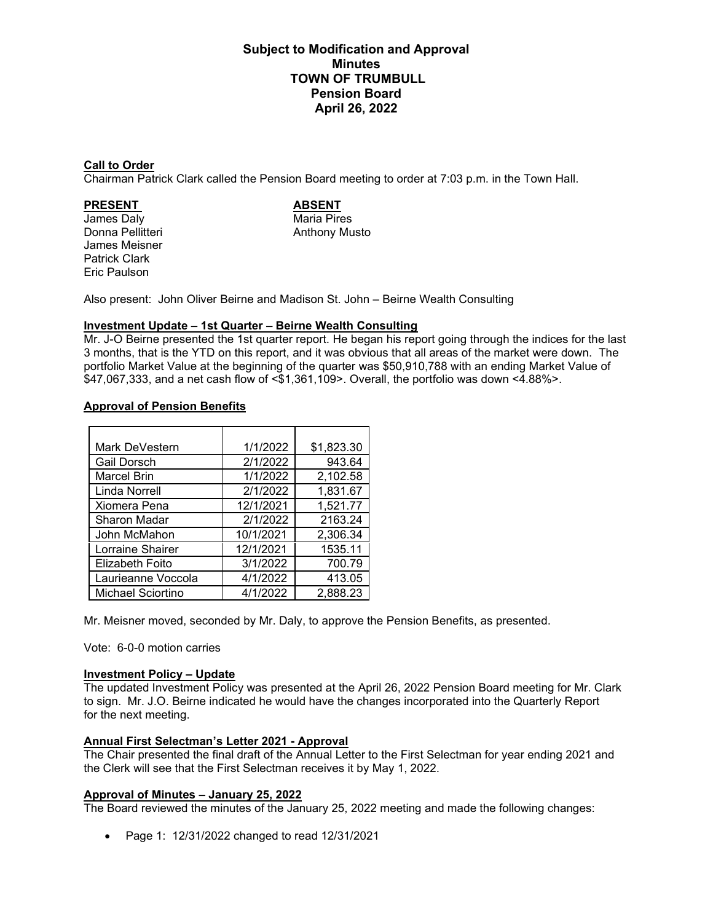# **Subject to Modification and Approval Minutes TOWN OF TRUMBULL Pension Board April 26, 2022**

#### **Call to Order**

Chairman Patrick Clark called the Pension Board meeting to order at 7:03 p.m. in the Town Hall.

**PRESENT ABSENT** James Daly<br>Donna Pellitteri James Meisner Patrick Clark Eric Paulson

Anthony Musto

Also present: John Oliver Beirne and Madison St. John – Beirne Wealth Consulting

#### **Investment Update – 1st Quarter – Beirne Wealth Consulting**

Mr. J-O Beirne presented the 1st quarter report. He began his report going through the indices for the last 3 months, that is the YTD on this report, and it was obvious that all areas of the market were down. The portfolio Market Value at the beginning of the quarter was \$50,910,788 with an ending Market Value of \$47,067,333, and a net cash flow of <\$1,361,109>. Overall, the portfolio was down <4.88%>.

### **Approval of Pension Benefits**

| Mark DeVestern           | 1/1/2022  | \$1,823.30 |
|--------------------------|-----------|------------|
| <b>Gail Dorsch</b>       | 2/1/2022  | 943.64     |
| <b>Marcel Brin</b>       | 1/1/2022  | 2,102.58   |
| Linda Norrell            | 2/1/2022  | 1,831.67   |
| Xiomera Pena             | 12/1/2021 | 1,521.77   |
| Sharon Madar             | 2/1/2022  | 2163.24    |
| John McMahon             | 10/1/2021 | 2,306.34   |
| Lorraine Shairer         | 12/1/2021 | 1535.11    |
| Elizabeth Foito          | 3/1/2022  | 700.79     |
| Laurieanne Voccola       | 4/1/2022  | 413.05     |
| <b>Michael Sciortino</b> | 4/1/2022  | 2,888.23   |

Mr. Meisner moved, seconded by Mr. Daly, to approve the Pension Benefits, as presented.

Vote: 6-0-0 motion carries

#### **Investment Policy – Update**

The updated Investment Policy was presented at the April 26, 2022 Pension Board meeting for Mr. Clark to sign. Mr. J.O. Beirne indicated he would have the changes incorporated into the Quarterly Report for the next meeting.

### **Annual First Selectman's Letter 2021 - Approval**

The Chair presented the final draft of the Annual Letter to the First Selectman for year ending 2021 and the Clerk will see that the First Selectman receives it by May 1, 2022.

#### **Approval of Minutes – January 25, 2022**

The Board reviewed the minutes of the January 25, 2022 meeting and made the following changes:

• Page 1: 12/31/2022 changed to read 12/31/2021